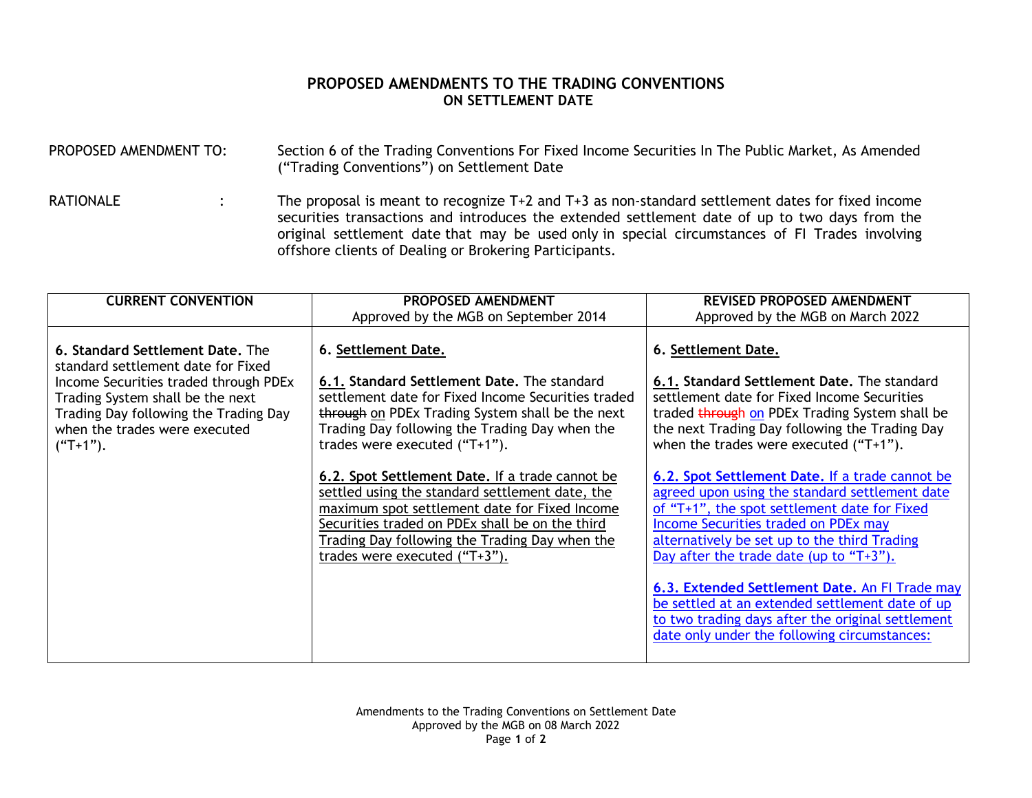## **PROPOSED AMENDMENTS TO THE TRADING CONVENTIONS ON SETTLEMENT DATE**

| PROPOSED AMENDMENT TO: |  | Section 6 of the Trading Conventions For Fixed Income Securities In The Public Market, As Amended<br>("Trading Conventions") on Settlement Date                                                                                                                                                                                                                    |  |  |  |
|------------------------|--|--------------------------------------------------------------------------------------------------------------------------------------------------------------------------------------------------------------------------------------------------------------------------------------------------------------------------------------------------------------------|--|--|--|
| <b>RATIONALE</b>       |  | The proposal is meant to recognize $T+2$ and $T+3$ as non-standard settlement dates for fixed income<br>securities transactions and introduces the extended settlement date of up to two days from the<br>original settlement date that may be used only in special circumstances of FI Trades involving<br>offshore clients of Dealing or Brokering Participants. |  |  |  |

| <b>CURRENT CONVENTION</b>                                                                                                                                                                                                                   | PROPOSED AMENDMENT                                                                                                                                                                                                                                                                          | REVISED PROPOSED AMENDMENT                                                                                                                                                                                                                                                                                                                                                                                                                                                                         |  |
|---------------------------------------------------------------------------------------------------------------------------------------------------------------------------------------------------------------------------------------------|---------------------------------------------------------------------------------------------------------------------------------------------------------------------------------------------------------------------------------------------------------------------------------------------|----------------------------------------------------------------------------------------------------------------------------------------------------------------------------------------------------------------------------------------------------------------------------------------------------------------------------------------------------------------------------------------------------------------------------------------------------------------------------------------------------|--|
|                                                                                                                                                                                                                                             | Approved by the MGB on September 2014                                                                                                                                                                                                                                                       | Approved by the MGB on March 2022                                                                                                                                                                                                                                                                                                                                                                                                                                                                  |  |
| 6. Standard Settlement Date. The<br>standard settlement date for Fixed<br>Income Securities traded through PDEx<br>Trading System shall be the next<br>Trading Day following the Trading Day<br>when the trades were executed<br>$("T+1").$ | 6. Settlement Date.<br>6.1. Standard Settlement Date. The standard<br>settlement date for Fixed Income Securities traded<br>through on PDEx Trading System shall be the next<br>Trading Day following the Trading Day when the<br>trades were executed ("T+1").                             | 6. Settlement Date.<br>6.1. Standard Settlement Date. The standard<br>settlement date for Fixed Income Securities<br>traded through on PDEx Trading System shall be<br>the next Trading Day following the Trading Day<br>when the trades were executed $("T+1")$ .                                                                                                                                                                                                                                 |  |
|                                                                                                                                                                                                                                             | 6.2. Spot Settlement Date. If a trade cannot be<br>settled using the standard settlement date, the<br>maximum spot settlement date for Fixed Income<br>Securities traded on PDEx shall be on the third<br>Trading Day following the Trading Day when the<br>trades were executed $("T+3").$ | 6.2. Spot Settlement Date. If a trade cannot be<br>agreed upon using the standard settlement date<br>of "T+1", the spot settlement date for Fixed<br>Income Securities traded on PDEx may<br>alternatively be set up to the third Trading<br>Day after the trade date (up to " $T+3$ ").<br>6.3. Extended Settlement Date. An FI Trade may<br>be settled at an extended settlement date of up<br>to two trading days after the original settlement<br>date only under the following circumstances: |  |